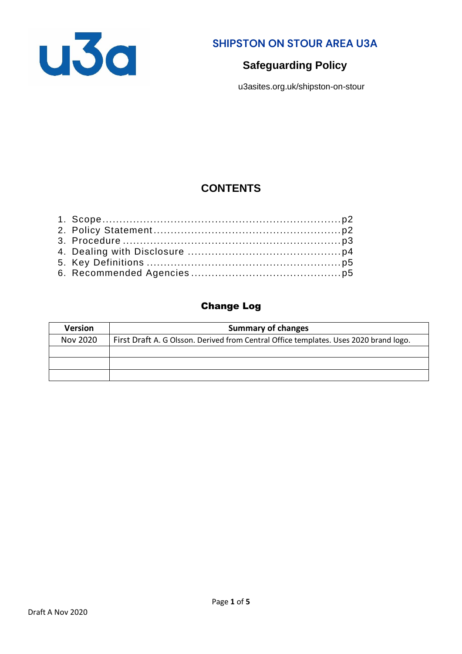

**SHIPSTON ON STOUR AREA U3A**

# **Safeguarding Policy**

u3asites.org.uk/shipston-on-stour

# **CONTENTS**

### Change Log

| <b>Version</b> | <b>Summary of changes</b>                                                             |
|----------------|---------------------------------------------------------------------------------------|
| Nov 2020       | First Draft A. G Olsson. Derived from Central Office templates. Uses 2020 brand logo. |
|                |                                                                                       |
|                |                                                                                       |
|                |                                                                                       |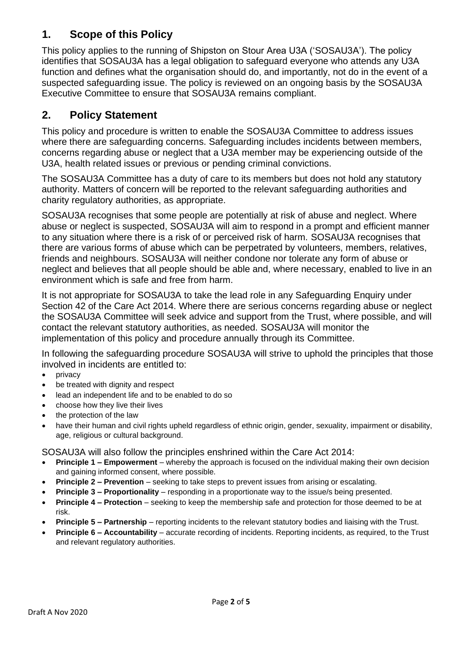# **1. Scope of this Policy**

This policy applies to the running of Shipston on Stour Area U3A ('SOSAU3A'). The policy identifies that SOSAU3A has a legal obligation to safeguard everyone who attends any U3A function and defines what the organisation should do, and importantly, not do in the event of a suspected safeguarding issue. The policy is reviewed on an ongoing basis by the SOSAU3A Executive Committee to ensure that SOSAU3A remains compliant.

# **2. Policy Statement**

This policy and procedure is written to enable the SOSAU3A Committee to address issues where there are safeguarding concerns. Safeguarding includes incidents between members, concerns regarding abuse or neglect that a U3A member may be experiencing outside of the U3A, health related issues or previous or pending criminal convictions.

The SOSAU3A Committee has a duty of care to its members but does not hold any statutory authority. Matters of concern will be reported to the relevant safeguarding authorities and charity regulatory authorities, as appropriate.

SOSAU3A recognises that some people are potentially at risk of abuse and neglect. Where abuse or neglect is suspected, SOSAU3A will aim to respond in a prompt and efficient manner to any situation where there is a risk of or perceived risk of harm. SOSAU3A recognises that there are various forms of abuse which can be perpetrated by volunteers, members, relatives, friends and neighbours. SOSAU3A will neither condone nor tolerate any form of abuse or neglect and believes that all people should be able and, where necessary, enabled to live in an environment which is safe and free from harm.

It is not appropriate for SOSAU3A to take the lead role in any Safeguarding Enquiry under Section 42 of the Care Act 2014. Where there are serious concerns regarding abuse or neglect the SOSAU3A Committee will seek advice and support from the Trust, where possible, and will contact the relevant statutory authorities, as needed. SOSAU3A will monitor the implementation of this policy and procedure annually through its Committee.

In following the safeguarding procedure SOSAU3A will strive to uphold the principles that those involved in incidents are entitled to:

- privacy
- be treated with dignity and respect
- lead an independent life and to be enabled to do so
- choose how they live their lives
- the protection of the law
- have their human and civil rights upheld regardless of ethnic origin, gender, sexuality, impairment or disability, age, religious or cultural background.

SOSAU3A will also follow the principles enshrined within the Care Act 2014:

- **Principle 1 – Empowerment** whereby the approach is focused on the individual making their own decision and gaining informed consent, where possible.
- **Principle 2 – Prevention** seeking to take steps to prevent issues from arising or escalating.
- **Principle 3 – Proportionality** responding in a proportionate way to the issue/s being presented.
- **Principle 4 – Protection** seeking to keep the membership safe and protection for those deemed to be at risk.
- **Principle 5 – Partnership** reporting incidents to the relevant statutory bodies and liaising with the Trust.
- **Principle 6 – Accountability** accurate recording of incidents. Reporting incidents, as required, to the Trust and relevant regulatory authorities.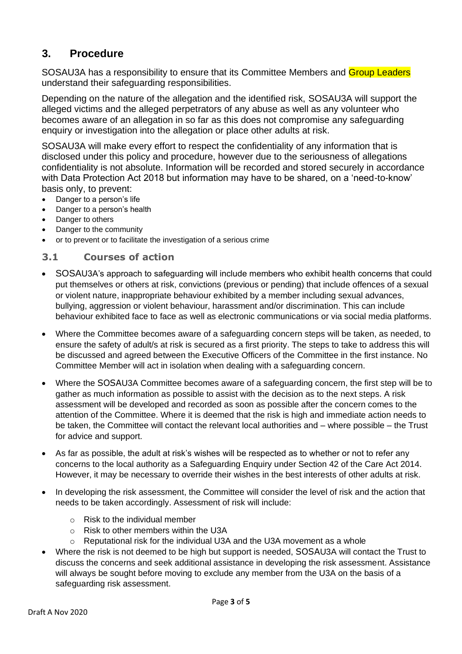## **3. Procedure**

SOSAU3A has a responsibility to ensure that its Committee Members and Group Leaders understand their safeguarding responsibilities.

Depending on the nature of the allegation and the identified risk, SOSAU3A will support the alleged victims and the alleged perpetrators of any abuse as well as any volunteer who becomes aware of an allegation in so far as this does not compromise any safeguarding enquiry or investigation into the allegation or place other adults at risk.

SOSAU3A will make every effort to respect the confidentiality of any information that is disclosed under this policy and procedure, however due to the seriousness of allegations confidentiality is not absolute. Information will be recorded and stored securely in accordance with Data Protection Act 2018 but information may have to be shared, on a 'need-to-know' basis only, to prevent:

- Danger to a person's life
- Danger to a person's health
- Danger to others
- Danger to the community
- or to prevent or to facilitate the investigation of a serious crime

#### **3.1 Courses of action**

- SOSAU3A's approach to safeguarding will include members who exhibit health concerns that could put themselves or others at risk, convictions (previous or pending) that include offences of a sexual or violent nature, inappropriate behaviour exhibited by a member including sexual advances, bullying, aggression or violent behaviour, harassment and/or discrimination. This can include behaviour exhibited face to face as well as electronic communications or via social media platforms.
- Where the Committee becomes aware of a safeguarding concern steps will be taken, as needed, to ensure the safety of adult/s at risk is secured as a first priority. The steps to take to address this will be discussed and agreed between the Executive Officers of the Committee in the first instance. No Committee Member will act in isolation when dealing with a safeguarding concern.
- Where the SOSAU3A Committee becomes aware of a safeguarding concern, the first step will be to gather as much information as possible to assist with the decision as to the next steps. A risk assessment will be developed and recorded as soon as possible after the concern comes to the attention of the Committee. Where it is deemed that the risk is high and immediate action needs to be taken, the Committee will contact the relevant local authorities and – where possible – the Trust for advice and support.
- As far as possible, the adult at risk's wishes will be respected as to whether or not to refer any concerns to the local authority as a Safeguarding Enquiry under Section 42 of the Care Act 2014. However, it may be necessary to override their wishes in the best interests of other adults at risk.
- In developing the risk assessment, the Committee will consider the level of risk and the action that needs to be taken accordingly. Assessment of risk will include:
	- $\circ$  Risk to the individual member
	- o Risk to other members within the U3A
	- $\circ$  Reputational risk for the individual U3A and the U3A movement as a whole
- Where the risk is not deemed to be high but support is needed, SOSAU3A will contact the Trust to discuss the concerns and seek additional assistance in developing the risk assessment. Assistance will always be sought before moving to exclude any member from the U3A on the basis of a safeguarding risk assessment.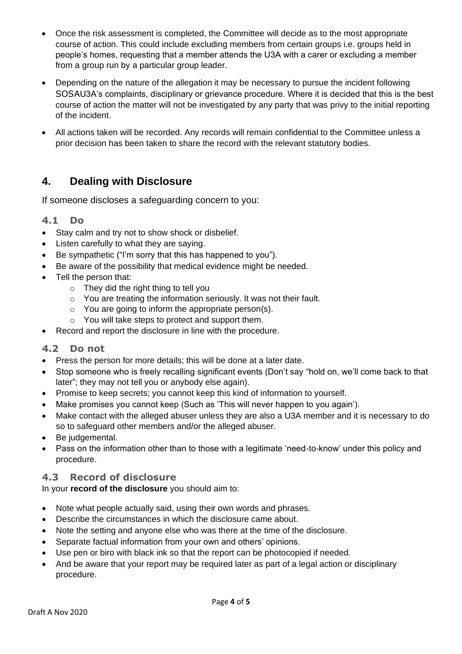- Once the risk assessment is completed, the Committee will decide as to the most appropriate course of action. This could include excluding members from certain groups i.e. groups held in people's homes, requesting that a member attends the U3A with a carer or excluding a member from a group run by a particular group leader.
- Depending on the nature of the allegation it may be necessary to pursue the incident following SOSAU3A's complaints, disciplinary or grievance procedure. Where it is decided that this is the best course of action the matter will not be investigated by any party that was privy to the initial reporting of the incident.
- All actions taken will be recorded. Any records will remain confidential to the Committee unless a prior decision has been taken to share the record with the relevant statutory bodies.

## **4. Dealing with Disclosure**

If someone discloses a safeguarding concern to you:

#### **4.1 Do**

- Stay calm and try not to show shock or disbelief.
- Listen carefully to what they are saying.
- Be sympathetic ("I'm sorry that this has happened to you").
- Be aware of the possibility that medical evidence might be needed.
- Tell the person that:
	- o They did the right thing to tell you
	- o You are treating the information seriously. It was not their fault.
	- o You are going to inform the appropriate person(s).
	- o You will take steps to protect and support them.
- Record and report the disclosure in line with the procedure.

#### **4.2 Do not**

- Press the person for more details; this will be done at a later date.
- Stop someone who is freely recalling significant events (Don't say "hold on, we'll come back to that later"; they may not tell you or anybody else again).
- Promise to keep secrets; you cannot keep this kind of information to yourself.
- Make promises you cannot keep (Such as 'This will never happen to you again').
- Make contact with the alleged abuser unless they are also a U3A member and it is necessary to do so to safeguard other members and/or the alleged abuser.
- Be judgemental.
- Pass on the information other than to those with a legitimate 'need-to-know' under this policy and procedure.

#### **4.3 Record of disclosure**

In your **record of the disclosure** you should aim to:

- Note what people actually said, using their own words and phrases.
- Describe the circumstances in which the disclosure came about.
- Note the setting and anyone else who was there at the time of the disclosure.
- Separate factual information from your own and others' opinions.
- Use pen or biro with black ink so that the report can be photocopied if needed.
- And be aware that your report may be required later as part of a legal action or disciplinary procedure.